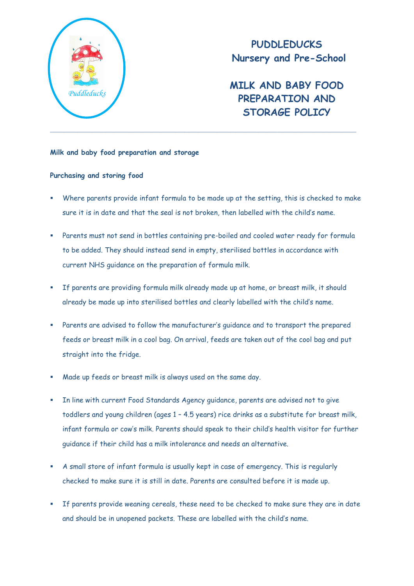

**PUDDLEDUCKS Nursery and Pre-School**

**MILK AND BABY FOOD PREPARATION AND STORAGE POLICY**

## **Milk and baby food preparation and storage**

## **Purchasing and storing food**

- Where parents provide infant formula to be made up at the setting, this is checked to make sure it is in date and that the seal is not broken, then labelled with the child's name.
- Parents must not send in bottles containing pre-boiled and cooled water ready for formula to be added. They should instead send in empty, sterilised bottles in accordance with current NHS guidance on the preparation of formula milk.
- If parents are providing formula milk already made up at home, or breast milk, it should already be made up into sterilised bottles and clearly labelled with the child's name.
- Parents are advised to follow the manufacturer's guidance and to transport the prepared feeds or breast milk in a cool bag. On arrival, feeds are taken out of the cool bag and put straight into the fridge.
- Made up feeds or breast milk is always used on the same day.
- In line with current Food Standards Agency guidance, parents are advised not to give toddlers and young children (ages 1 – 4.5 years) rice drinks as a substitute for breast milk, infant formula or cow's milk. Parents should speak to their child's health visitor for further guidance if their child has a milk intolerance and needs an alternative.
- A small store of infant formula is usually kept in case of emergency. This is regularly checked to make sure it is still in date. Parents are consulted before it is made up.
- If parents provide weaning cereals, these need to be checked to make sure they are in date and should be in unopened packets. These are labelled with the child's name.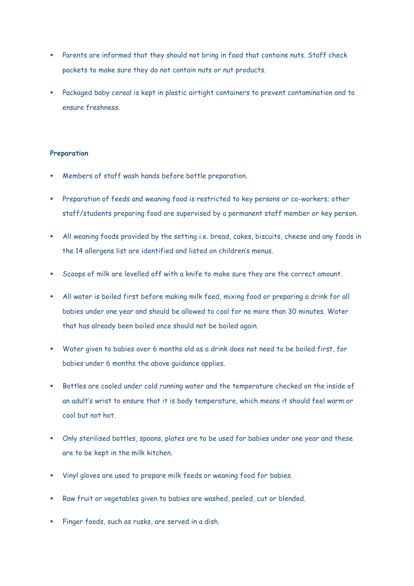- Parents are informed that they should not bring in food that contains nuts. Staff check packets to make sure they do not contain nuts or nut products.
- Packaged baby cereal is kept in plastic airtight containers to prevent contamination and to ensure freshness.

## **Preparation**

- Members of staff wash hands before bottle preparation.
- Preparation of feeds and weaning food is restricted to key persons or co-workers; other staff/students preparing food are supervised by a permanent staff member or key person.
- All weaning foods provided by the setting i.e. bread, cakes, biscuits, cheese and any foods in the 14 allergens list are identified and listed on children's menus.
- Scoops of milk are levelled off with a knife to make sure they are the correct amount.
- All water is boiled first before making milk feed, mixing food or preparing a drink for all babies under one year and should be allowed to cool for no more than 30 minutes. Water that has already been boiled once should not be boiled again.
- Water given to babies over 6 months old as a drink does not need to be boiled first, for babies under 6 months the above guidance applies.
- Bottles are cooled under cold running water and the temperature checked on the inside of an adult's wrist to ensure that it is body temperature, which means it should feel warm or cool but not hot.
- Only sterilised bottles, spoons, plates are to be used for babies under one year and these are to be kept in the milk kitchen.
- Vinyl gloves are used to prepare milk feeds or weaning food for babies.
- Raw fruit or vegetables given to babies are washed, peeled, cut or blended.
- Finger foods, such as rusks, are served in a dish.